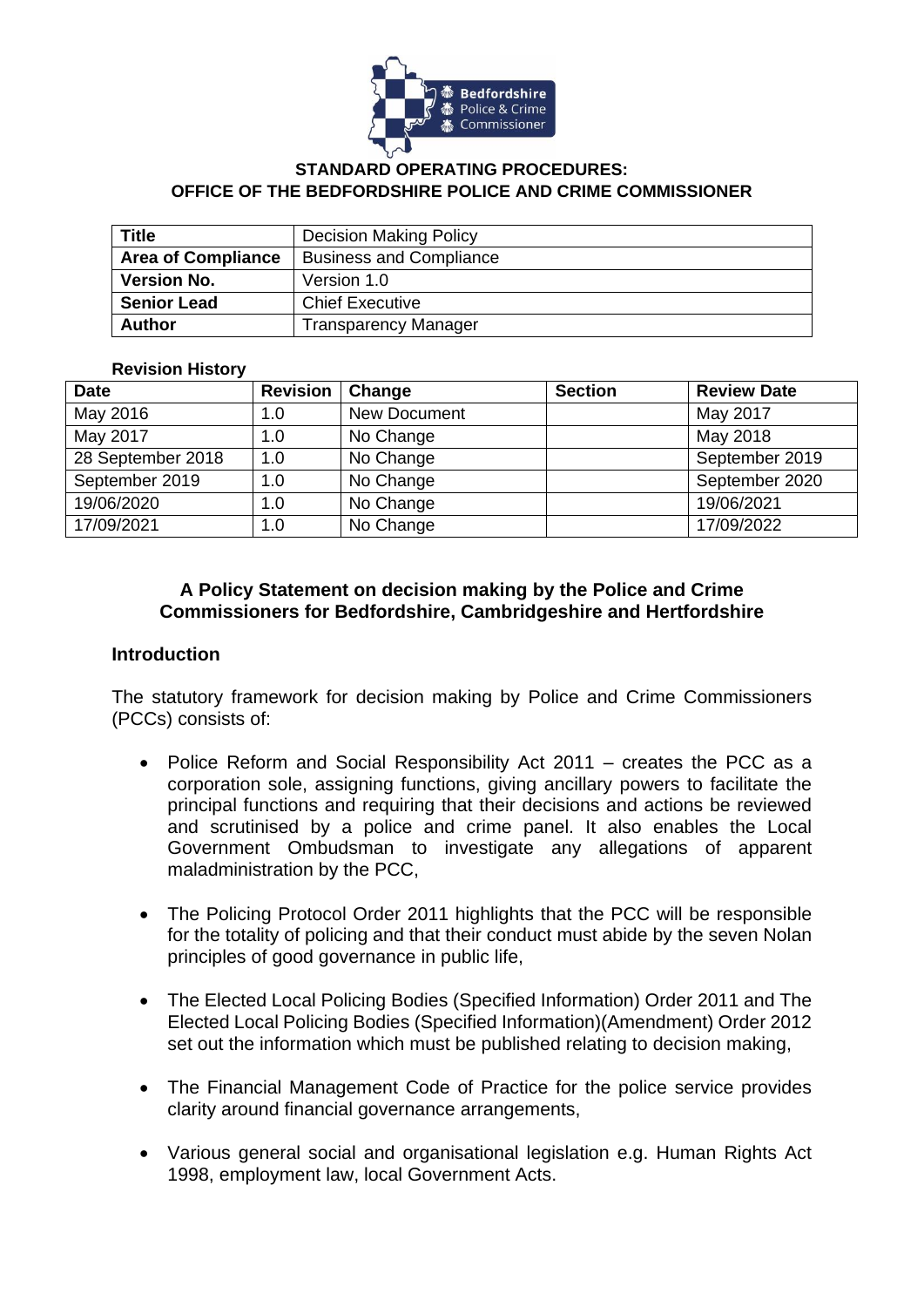

#### **STANDARD OPERATING PROCEDURES: OFFICE OF THE BEDFORDSHIRE POLICE AND CRIME COMMISSIONER**

| <b>Title</b>              | <b>Decision Making Policy</b>  |  |  |
|---------------------------|--------------------------------|--|--|
| <b>Area of Compliance</b> | <b>Business and Compliance</b> |  |  |
| <b>Version No.</b>        | Version 1.0                    |  |  |
| <b>Senior Lead</b>        | <b>Chief Executive</b>         |  |  |
| <b>Author</b>             | <b>Transparency Manager</b>    |  |  |

#### **Revision History**

| <b>Date</b>       | <b>Revision</b> | Change              | <b>Section</b> | <b>Review Date</b> |
|-------------------|-----------------|---------------------|----------------|--------------------|
| May 2016          | 1.0             | <b>New Document</b> |                | May 2017           |
| May 2017          | 1.0             | No Change           |                | May 2018           |
| 28 September 2018 | 1.0             | No Change           |                | September 2019     |
| September 2019    | 1.0             | No Change           |                | September 2020     |
| 19/06/2020        | 1.0             | No Change           |                | 19/06/2021         |
| 17/09/2021        | 1.0             | No Change           |                | 17/09/2022         |

### **A Policy Statement on decision making by the Police and Crime Commissioners for Bedfordshire, Cambridgeshire and Hertfordshire**

#### **Introduction**

The statutory framework for decision making by Police and Crime Commissioners (PCCs) consists of:

- Police Reform and Social Responsibility Act 2011 creates the PCC as a corporation sole, assigning functions, giving ancillary powers to facilitate the principal functions and requiring that their decisions and actions be reviewed and scrutinised by a police and crime panel. It also enables the Local Government Ombudsman to investigate any allegations of apparent maladministration by the PCC,
- The Policing Protocol Order 2011 highlights that the PCC will be responsible for the totality of policing and that their conduct must abide by the seven Nolan principles of good governance in public life,
- The Elected Local Policing Bodies (Specified Information) Order 2011 and The Elected Local Policing Bodies (Specified Information)(Amendment) Order 2012 set out the information which must be published relating to decision making,
- The Financial Management Code of Practice for the police service provides clarity around financial governance arrangements,
- Various general social and organisational legislation e.g. Human Rights Act 1998, employment law, local Government Acts.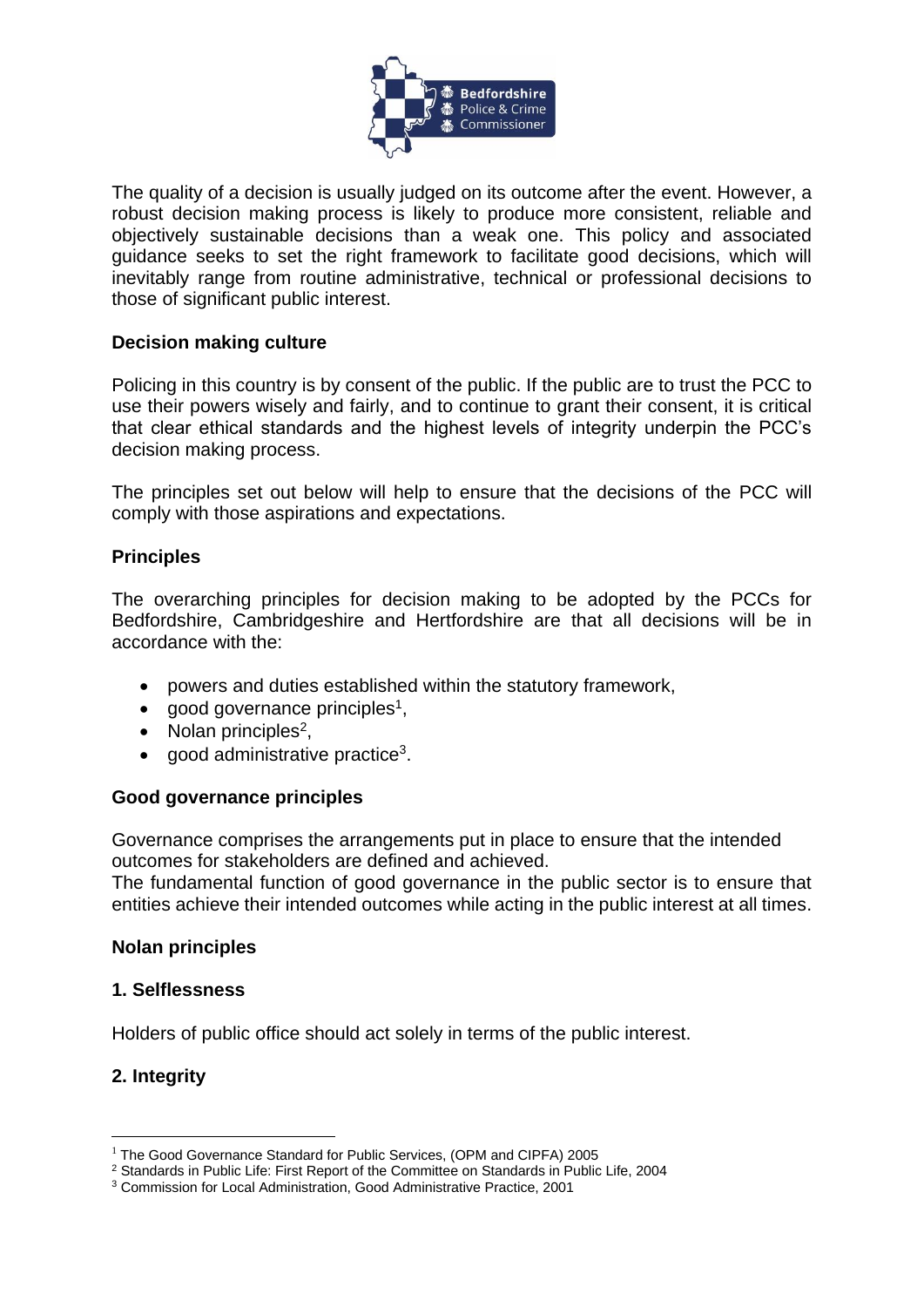

The quality of a decision is usually judged on its outcome after the event. However, a robust decision making process is likely to produce more consistent, reliable and objectively sustainable decisions than a weak one. This policy and associated guidance seeks to set the right framework to facilitate good decisions, which will inevitably range from routine administrative, technical or professional decisions to those of significant public interest.

### **Decision making culture**

Policing in this country is by consent of the public. If the public are to trust the PCC to use their powers wisely and fairly, and to continue to grant their consent, it is critical that clear ethical standards and the highest levels of integrity underpin the PCC's decision making process.

The principles set out below will help to ensure that the decisions of the PCC will comply with those aspirations and expectations.

## **Principles**

The overarching principles for decision making to be adopted by the PCCs for Bedfordshire, Cambridgeshire and Hertfordshire are that all decisions will be in accordance with the:

- powers and duties established within the statutory framework,
- good governance principles<sup>1</sup>,
- Nolan principles<sup>2</sup>,
- good administrative practice<sup>3</sup>.

### **Good governance principles**

Governance comprises the arrangements put in place to ensure that the intended outcomes for stakeholders are defined and achieved.

The fundamental function of good governance in the public sector is to ensure that entities achieve their intended outcomes while acting in the public interest at all times.

### **Nolan principles**

### **1. Selflessness**

Holders of public office should act solely in terms of the public interest.

### **2. Integrity**

1

<sup>&</sup>lt;sup>1</sup> The Good Governance Standard for Public Services, (OPM and CIPFA) 2005

<sup>2</sup> Standards in Public Life: First Report of the Committee on Standards in Public Life, 2004

<sup>3</sup> Commission for Local Administration, Good Administrative Practice, 2001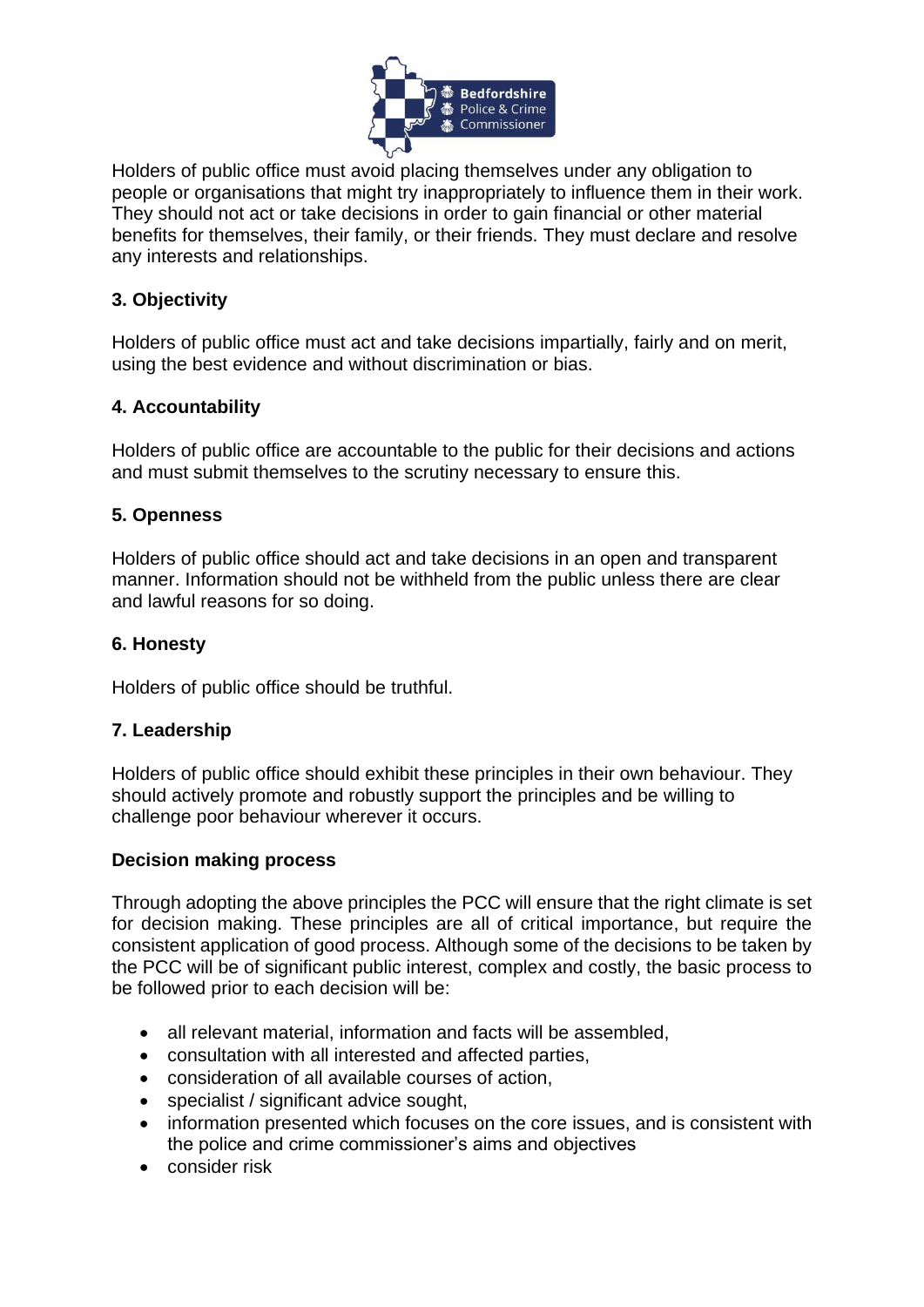

Holders of public office must avoid placing themselves under any obligation to people or organisations that might try inappropriately to influence them in their work. They should not act or take decisions in order to gain financial or other material benefits for themselves, their family, or their friends. They must declare and resolve any interests and relationships.

# **3. Objectivity**

Holders of public office must act and take decisions impartially, fairly and on merit, using the best evidence and without discrimination or bias.

# **4. Accountability**

Holders of public office are accountable to the public for their decisions and actions and must submit themselves to the scrutiny necessary to ensure this.

# **5. Openness**

Holders of public office should act and take decisions in an open and transparent manner. Information should not be withheld from the public unless there are clear and lawful reasons for so doing.

## **6. Honesty**

Holders of public office should be truthful.

# **7. Leadership**

Holders of public office should exhibit these principles in their own behaviour. They should actively promote and robustly support the principles and be willing to challenge poor behaviour wherever it occurs.

### **Decision making process**

Through adopting the above principles the PCC will ensure that the right climate is set for decision making. These principles are all of critical importance, but require the consistent application of good process. Although some of the decisions to be taken by the PCC will be of significant public interest, complex and costly, the basic process to be followed prior to each decision will be:

- all relevant material, information and facts will be assembled,
- consultation with all interested and affected parties,
- consideration of all available courses of action,
- specialist / significant advice sought,
- information presented which focuses on the core issues, and is consistent with the police and crime commissioner's aims and objectives
- consider risk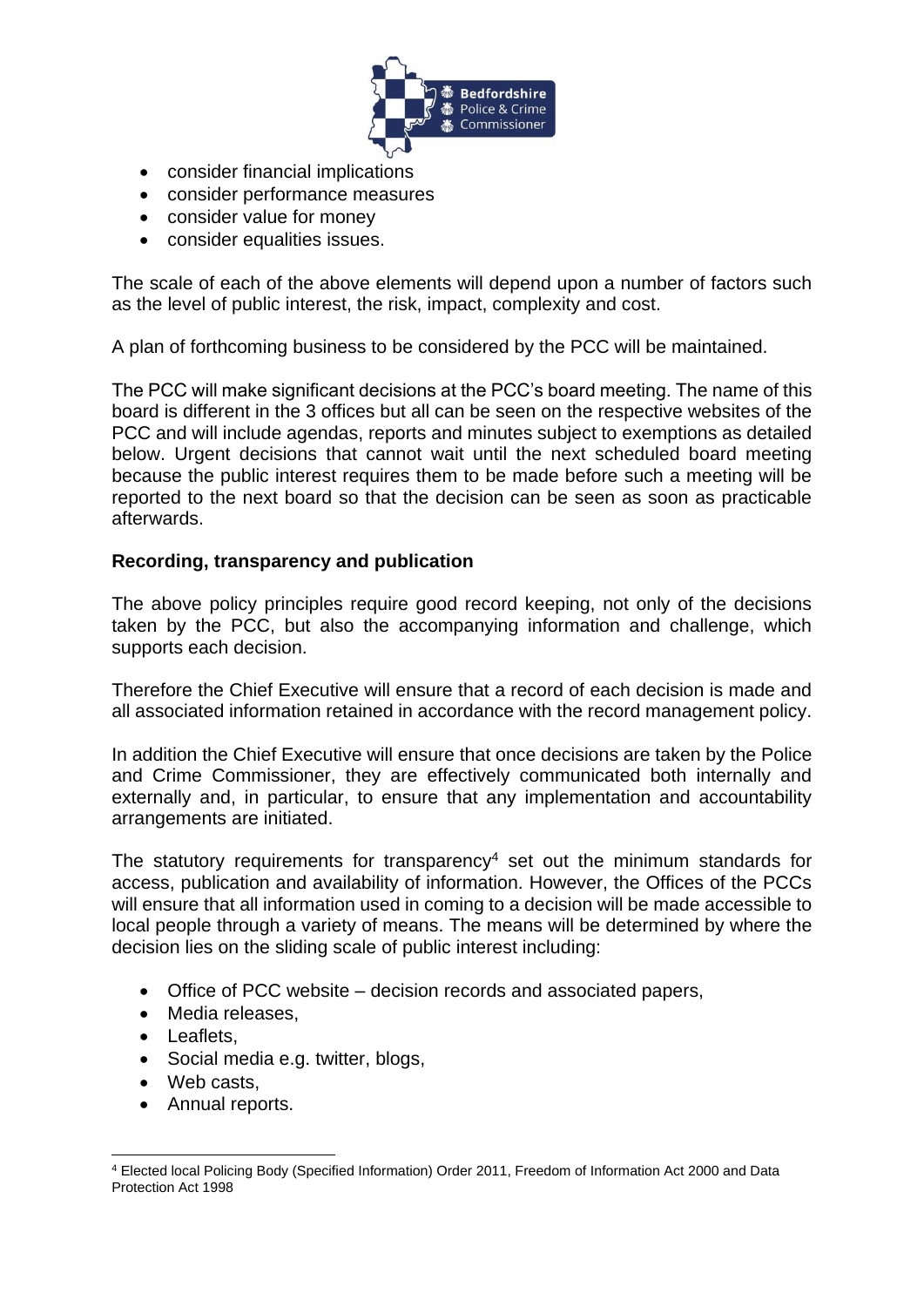

- consider financial implications
- consider performance measures
- consider value for money
- consider equalities issues.

The scale of each of the above elements will depend upon a number of factors such as the level of public interest, the risk, impact, complexity and cost.

A plan of forthcoming business to be considered by the PCC will be maintained.

The PCC will make significant decisions at the PCC's board meeting. The name of this board is different in the 3 offices but all can be seen on the respective websites of the PCC and will include agendas, reports and minutes subject to exemptions as detailed below. Urgent decisions that cannot wait until the next scheduled board meeting because the public interest requires them to be made before such a meeting will be reported to the next board so that the decision can be seen as soon as practicable afterwards.

## **Recording, transparency and publication**

The above policy principles require good record keeping, not only of the decisions taken by the PCC, but also the accompanying information and challenge, which supports each decision.

Therefore the Chief Executive will ensure that a record of each decision is made and all associated information retained in accordance with the record management policy.

In addition the Chief Executive will ensure that once decisions are taken by the Police and Crime Commissioner, they are effectively communicated both internally and externally and, in particular, to ensure that any implementation and accountability arrangements are initiated.

The statutory requirements for transparency<sup>4</sup> set out the minimum standards for access, publication and availability of information. However, the Offices of the PCCs will ensure that all information used in coming to a decision will be made accessible to local people through a variety of means. The means will be determined by where the decision lies on the sliding scale of public interest including:

- Office of PCC website decision records and associated papers,
- Media releases,
- Leaflets,
- Social media e.g. twitter, blogs,
- Web casts.
- Annual reports.

<sup>&</sup>lt;u>.</u> <sup>4</sup> Elected local Policing Body (Specified Information) Order 2011, Freedom of Information Act 2000 and Data Protection Act 1998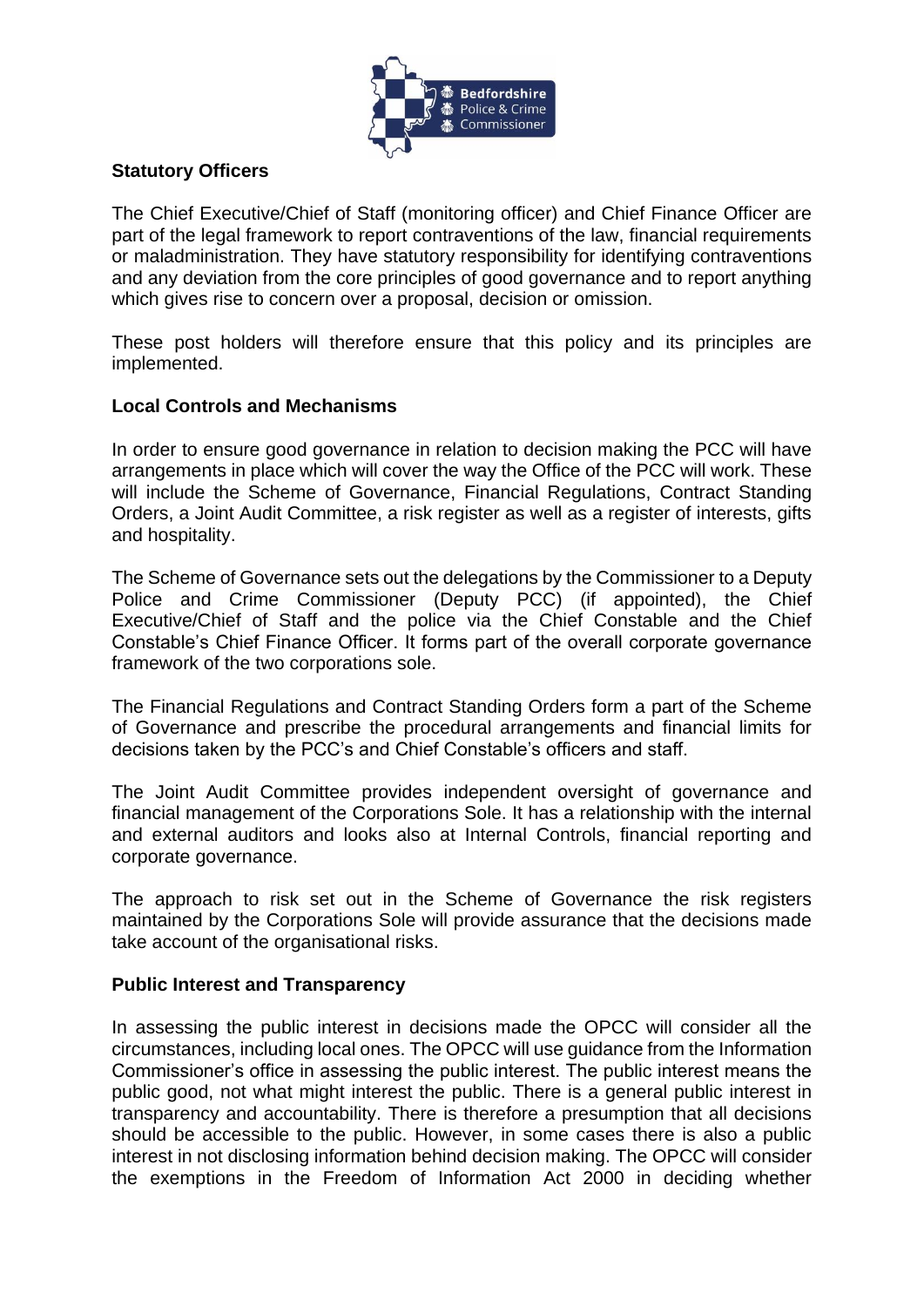

# **Statutory Officers**

The Chief Executive/Chief of Staff (monitoring officer) and Chief Finance Officer are part of the legal framework to report contraventions of the law, financial requirements or maladministration. They have statutory responsibility for identifying contraventions and any deviation from the core principles of good governance and to report anything which gives rise to concern over a proposal, decision or omission.

These post holders will therefore ensure that this policy and its principles are implemented.

## **Local Controls and Mechanisms**

In order to ensure good governance in relation to decision making the PCC will have arrangements in place which will cover the way the Office of the PCC will work. These will include the Scheme of Governance, Financial Regulations, Contract Standing Orders, a Joint Audit Committee, a risk register as well as a register of interests, gifts and hospitality.

The Scheme of Governance sets out the delegations by the Commissioner to a Deputy Police and Crime Commissioner (Deputy PCC) (if appointed), the Chief Executive/Chief of Staff and the police via the Chief Constable and the Chief Constable's Chief Finance Officer. It forms part of the overall corporate governance framework of the two corporations sole.

The Financial Regulations and Contract Standing Orders form a part of the Scheme of Governance and prescribe the procedural arrangements and financial limits for decisions taken by the PCC's and Chief Constable's officers and staff.

The Joint Audit Committee provides independent oversight of governance and financial management of the Corporations Sole. It has a relationship with the internal and external auditors and looks also at Internal Controls, financial reporting and corporate governance.

The approach to risk set out in the Scheme of Governance the risk registers maintained by the Corporations Sole will provide assurance that the decisions made take account of the organisational risks.

### **Public Interest and Transparency**

In assessing the public interest in decisions made the OPCC will consider all the circumstances, including local ones. The OPCC will use guidance from the Information Commissioner's office in assessing the public interest. The public interest means the public good, not what might interest the public. There is a general public interest in transparency and accountability. There is therefore a presumption that all decisions should be accessible to the public. However, in some cases there is also a public interest in not disclosing information behind decision making. The OPCC will consider the exemptions in the Freedom of Information Act 2000 in deciding whether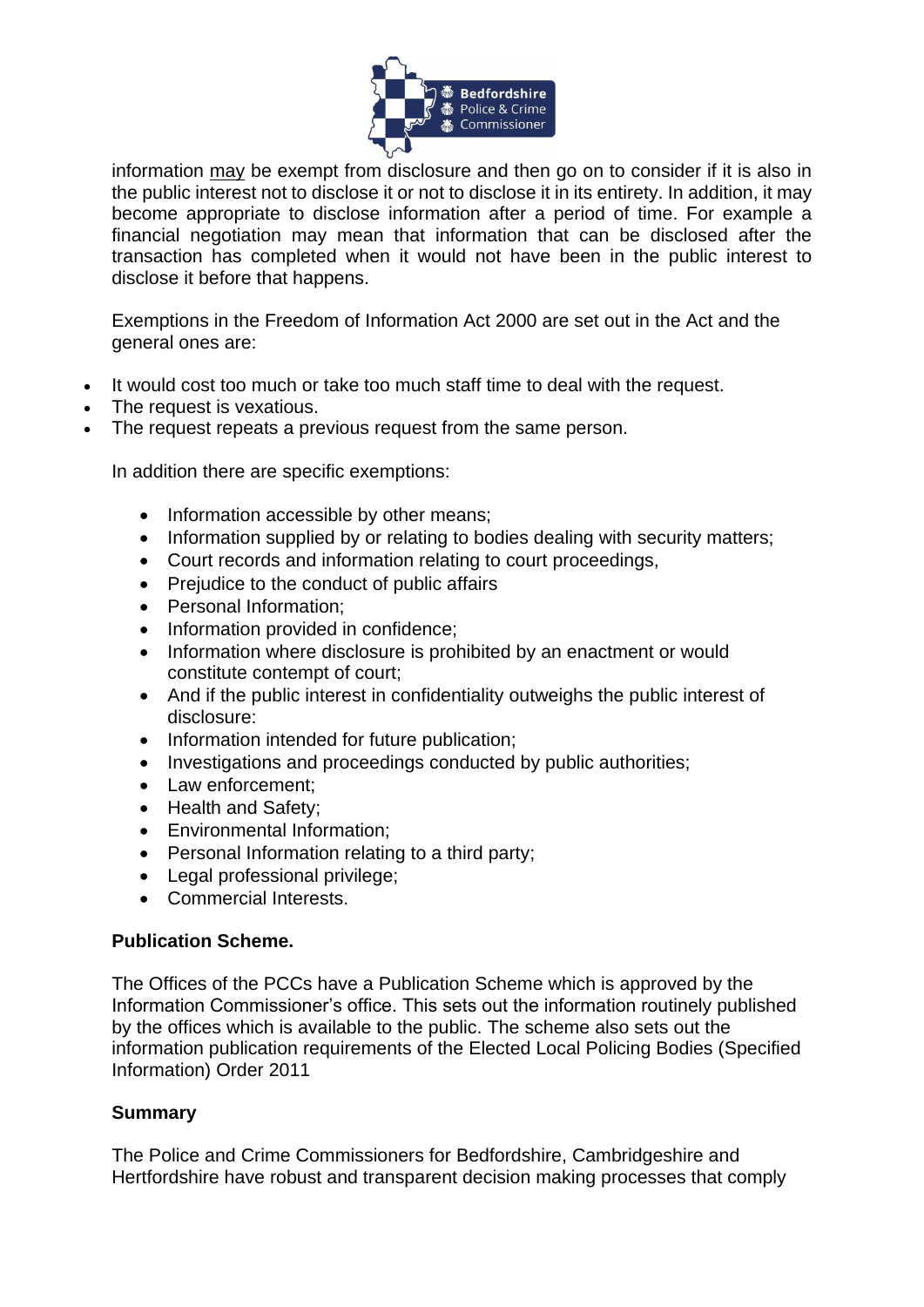

information may be exempt from disclosure and then go on to consider if it is also in the public interest not to disclose it or not to disclose it in its entirety. In addition, it may become appropriate to disclose information after a period of time. For example a financial negotiation may mean that information that can be disclosed after the transaction has completed when it would not have been in the public interest to disclose it before that happens.

Exemptions in the Freedom of Information Act 2000 are set out in the Act and the general ones are:

- It would cost too much or take too much staff time to deal with the request.
- The request is vexatious.
- The request repeats a previous request from the same person.

In addition there are specific exemptions:

- Information accessible by other means;
- Information supplied by or relating to bodies dealing with security matters;
- Court records and information relating to court proceedings,
- Prejudice to the conduct of public affairs
- Personal Information;
- Information provided in confidence;
- Information where disclosure is prohibited by an enactment or would constitute contempt of court;
- And if the public interest in confidentiality outweighs the public interest of disclosure:
- Information intended for future publication;
- Investigations and proceedings conducted by public authorities;
- Law enforcement;
- Health and Safety;
- Environmental Information;
- Personal Information relating to a third party;
- Legal professional privilege;
- Commercial Interests.

#### **Publication Scheme.**

The Offices of the PCCs have a Publication Scheme which is approved by the Information Commissioner's office. This sets out the information routinely published by the offices which is available to the public. The scheme also sets out the information publication requirements of the Elected Local Policing Bodies (Specified Information) Order 2011

### **Summary**

The Police and Crime Commissioners for Bedfordshire, Cambridgeshire and Hertfordshire have robust and transparent decision making processes that comply